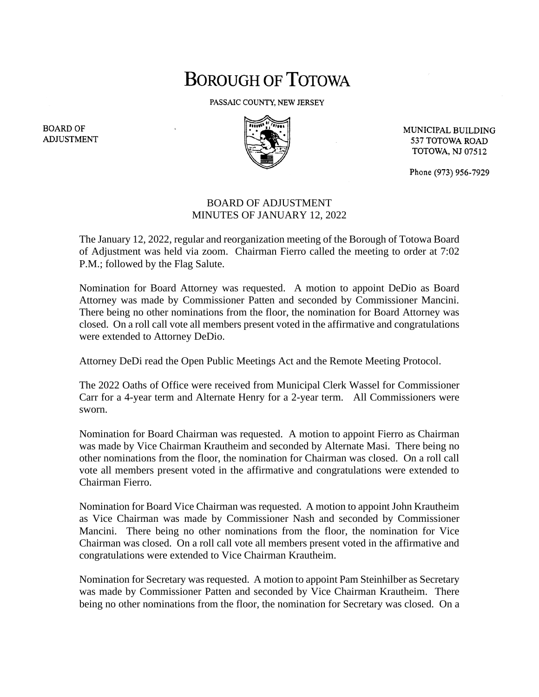## **BOROUGH OF TOTOWA**

PASSAIC COUNTY, NEW JERSEY



MUNICIPAL BUILDING 537 TOTOWA ROAD **TOTOWA, NJ 07512** 

Phone (973) 956-7929

## BOARD OF ADJUSTMENT MINUTES OF JANUARY 12, 2022

The January 12, 2022, regular and reorganization meeting of the Borough of Totowa Board of Adjustment was held via zoom. Chairman Fierro called the meeting to order at 7:02 P.M.; followed by the Flag Salute.

Nomination for Board Attorney was requested. A motion to appoint DeDio as Board Attorney was made by Commissioner Patten and seconded by Commissioner Mancini. There being no other nominations from the floor, the nomination for Board Attorney was closed. On a roll call vote all members present voted in the affirmative and congratulations were extended to Attorney DeDio.

Attorney DeDi read the Open Public Meetings Act and the Remote Meeting Protocol.

The 2022 Oaths of Office were received from Municipal Clerk Wassel for Commissioner Carr for a 4-year term and Alternate Henry for a 2-year term. All Commissioners were sworn.

Nomination for Board Chairman was requested. A motion to appoint Fierro as Chairman was made by Vice Chairman Krautheim and seconded by Alternate Masi. There being no other nominations from the floor, the nomination for Chairman was closed. On a roll call vote all members present voted in the affirmative and congratulations were extended to Chairman Fierro.

Nomination for Board Vice Chairman was requested. A motion to appoint John Krautheim as Vice Chairman was made by Commissioner Nash and seconded by Commissioner Mancini. There being no other nominations from the floor, the nomination for Vice Chairman was closed. On a roll call vote all members present voted in the affirmative and congratulations were extended to Vice Chairman Krautheim.

Nomination for Secretary was requested. A motion to appoint Pam Steinhilber as Secretary was made by Commissioner Patten and seconded by Vice Chairman Krautheim. There being no other nominations from the floor, the nomination for Secretary was closed. On a

**BOARD OF ADJUSTMENT**